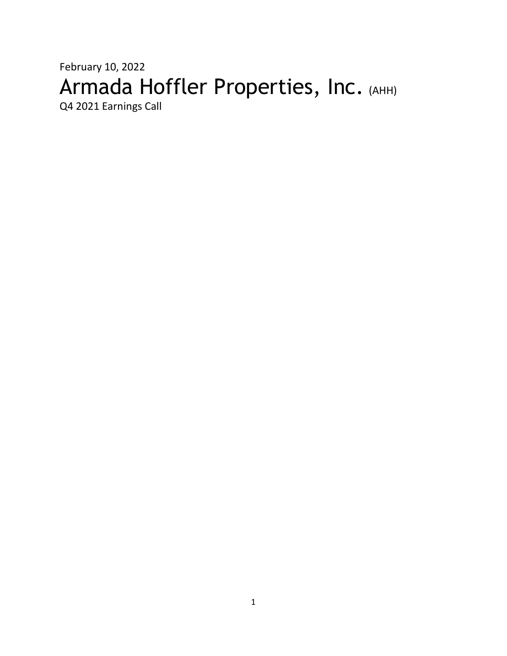# February 10, 2022 Armada Hoffler Properties, Inc. (AHH)

Q4 2021 Earnings Call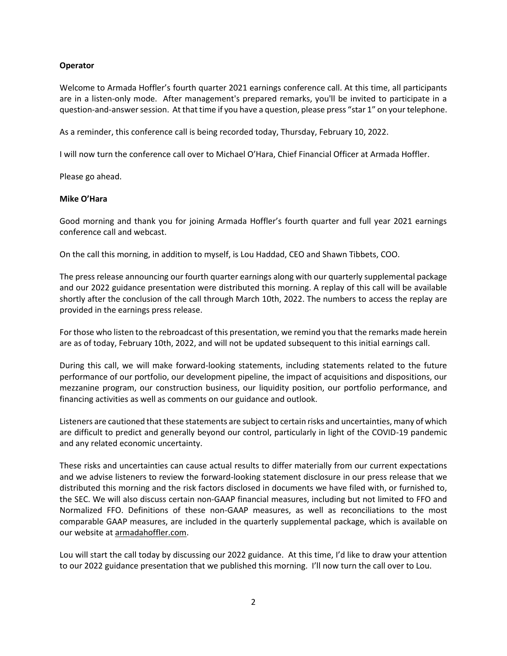# **Operator**

Welcome to Armada Hoffler's fourth quarter 2021 earnings conference call. At this time, all participants are in a listen-only mode. After management's prepared remarks, you'll be invited to participate in a question-and-answersession. At that time if you have a question, please press "star 1" on your telephone.

As a reminder, this conference call is being recorded today, Thursday, February 10, 2022.

I will now turn the conference call over to Michael O'Hara, Chief Financial Officer at Armada Hoffler.

Please go ahead.

# **Mike O'Hara**

Good morning and thank you for joining Armada Hoffler's fourth quarter and full year 2021 earnings conference call and webcast.

On the call this morning, in addition to myself, is Lou Haddad, CEO and Shawn Tibbets, COO.

The press release announcing our fourth quarter earnings along with our quarterly supplemental package and our 2022 guidance presentation were distributed this morning. A replay of this call will be available shortly after the conclusion of the call through March 10th, 2022. The numbers to access the replay are provided in the earnings press release.

For those who listen to the rebroadcast of this presentation, we remind you that the remarks made herein are as of today, February 10th, 2022, and will not be updated subsequent to this initial earnings call.

During this call, we will make forward-looking statements, including statements related to the future performance of our portfolio, our development pipeline, the impact of acquisitions and dispositions, our mezzanine program, our construction business, our liquidity position, our portfolio performance, and financing activities as well as comments on our guidance and outlook.

Listeners are cautioned that these statements are subject to certain risks and uncertainties, many of which are difficult to predict and generally beyond our control, particularly in light of the COVID-19 pandemic and any related economic uncertainty.

These risks and uncertainties can cause actual results to differ materially from our current expectations and we advise listeners to review the forward-looking statement disclosure in our press release that we distributed this morning and the risk factors disclosed in documents we have filed with, or furnished to, the SEC. We will also discuss certain non-GAAP financial measures, including but not limited to FFO and Normalized FFO. Definitions of these non-GAAP measures, as well as reconciliations to the most comparable GAAP measures, are included in the quarterly supplemental package, which is available on our website at [armadahoffler.com.](http://www.armadahoffler.com/)

Lou will start the call today by discussing our 2022 guidance. At this time, I'd like to draw your attention to our 2022 guidance presentation that we published this morning. I'll now turn the call over to Lou.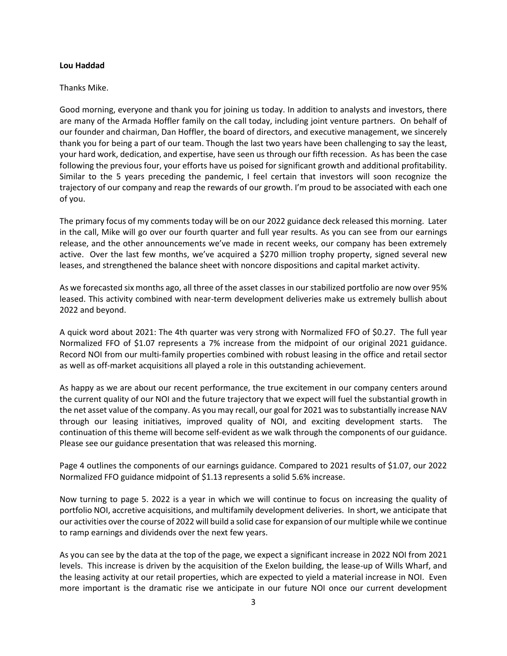#### **Lou Haddad**

#### Thanks Mike.

Good morning, everyone and thank you for joining us today. In addition to analysts and investors, there are many of the Armada Hoffler family on the call today, including joint venture partners. On behalf of our founder and chairman, Dan Hoffler, the board of directors, and executive management, we sincerely thank you for being a part of our team. Though the last two years have been challenging to say the least, your hard work, dedication, and expertise, have seen us through our fifth recession. As has been the case following the previous four, your efforts have us poised for significant growth and additional profitability. Similar to the 5 years preceding the pandemic, I feel certain that investors will soon recognize the trajectory of our company and reap the rewards of our growth. I'm proud to be associated with each one of you.

The primary focus of my comments today will be on our 2022 guidance deck released this morning. Later in the call, Mike will go over our fourth quarter and full year results. As you can see from our earnings release, and the other announcements we've made in recent weeks, our company has been extremely active. Over the last few months, we've acquired a \$270 million trophy property, signed several new leases, and strengthened the balance sheet with noncore dispositions and capital market activity.

As we forecasted six months ago, all three of the asset classes in our stabilized portfolio are now over 95% leased. This activity combined with near-term development deliveries make us extremely bullish about 2022 and beyond.

A quick word about 2021: The 4th quarter was very strong with Normalized FFO of \$0.27. The full year Normalized FFO of \$1.07 represents a 7% increase from the midpoint of our original 2021 guidance. Record NOI from our multi-family properties combined with robust leasing in the office and retail sector as well as off-market acquisitions all played a role in this outstanding achievement.

As happy as we are about our recent performance, the true excitement in our company centers around the current quality of our NOI and the future trajectory that we expect will fuel the substantial growth in the net asset value of the company. As you may recall, our goal for 2021 was to substantially increase NAV through our leasing initiatives, improved quality of NOI, and exciting development starts. The continuation of this theme will become self-evident as we walk through the components of our guidance. Please see our guidance presentation that was released this morning.

Page 4 outlines the components of our earnings guidance. Compared to 2021 results of \$1.07, our 2022 Normalized FFO guidance midpoint of \$1.13 represents a solid 5.6% increase.

Now turning to page 5. 2022 is a year in which we will continue to focus on increasing the quality of portfolio NOI, accretive acquisitions, and multifamily development deliveries. In short, we anticipate that our activities over the course of 2022 will build a solid case for expansion of our multiple while we continue to ramp earnings and dividends over the next few years.

As you can see by the data at the top of the page, we expect a significant increase in 2022 NOI from 2021 levels. This increase is driven by the acquisition of the Exelon building, the lease-up of Wills Wharf, and the leasing activity at our retail properties, which are expected to yield a material increase in NOI. Even more important is the dramatic rise we anticipate in our future NOI once our current development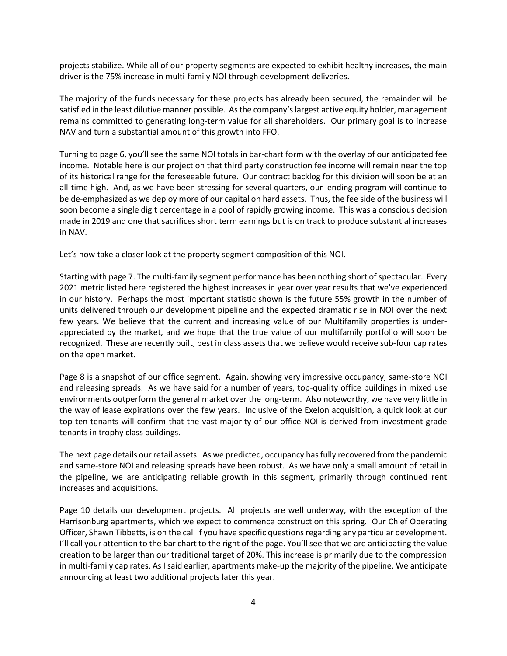projects stabilize. While all of our property segments are expected to exhibit healthy increases, the main driver is the 75% increase in multi-family NOI through development deliveries.

The majority of the funds necessary for these projects has already been secured, the remainder will be satisfied in the least dilutive manner possible. As the company's largest active equity holder, management remains committed to generating long-term value for all shareholders. Our primary goal is to increase NAV and turn a substantial amount of this growth into FFO.

Turning to page 6, you'll see the same NOI totals in bar-chart form with the overlay of our anticipated fee income. Notable here is our projection that third party construction fee income will remain near the top of its historical range for the foreseeable future. Our contract backlog for this division will soon be at an all-time high. And, as we have been stressing for several quarters, our lending program will continue to be de-emphasized as we deploy more of our capital on hard assets. Thus, the fee side of the business will soon become a single digit percentage in a pool of rapidly growing income. This was a conscious decision made in 2019 and one that sacrifices short term earnings but is on track to produce substantial increases in NAV.

Let's now take a closer look at the property segment composition of this NOI.

Starting with page 7. The multi-family segment performance has been nothing short of spectacular. Every 2021 metric listed here registered the highest increases in year over year results that we've experienced in our history. Perhaps the most important statistic shown is the future 55% growth in the number of units delivered through our development pipeline and the expected dramatic rise in NOI over the next few years. We believe that the current and increasing value of our Multifamily properties is underappreciated by the market, and we hope that the true value of our multifamily portfolio will soon be recognized. These are recently built, best in class assets that we believe would receive sub-four cap rates on the open market.

Page 8 is a snapshot of our office segment. Again, showing very impressive occupancy, same-store NOI and releasing spreads. As we have said for a number of years, top-quality office buildings in mixed use environments outperform the general market over the long-term. Also noteworthy, we have very little in the way of lease expirations over the few years. Inclusive of the Exelon acquisition, a quick look at our top ten tenants will confirm that the vast majority of our office NOI is derived from investment grade tenants in trophy class buildings.

The next page details our retail assets. As we predicted, occupancy has fully recovered from the pandemic and same-store NOI and releasing spreads have been robust. As we have only a small amount of retail in the pipeline, we are anticipating reliable growth in this segment, primarily through continued rent increases and acquisitions.

Page 10 details our development projects. All projects are well underway, with the exception of the Harrisonburg apartments, which we expect to commence construction this spring. Our Chief Operating Officer, Shawn Tibbetts, is on the call if you have specific questions regarding any particular development. I'll call your attention to the bar chart to the right of the page. You'll see that we are anticipating the value creation to be larger than our traditional target of 20%. This increase is primarily due to the compression in multi-family cap rates. As I said earlier, apartments make-up the majority of the pipeline. We anticipate announcing at least two additional projects later this year.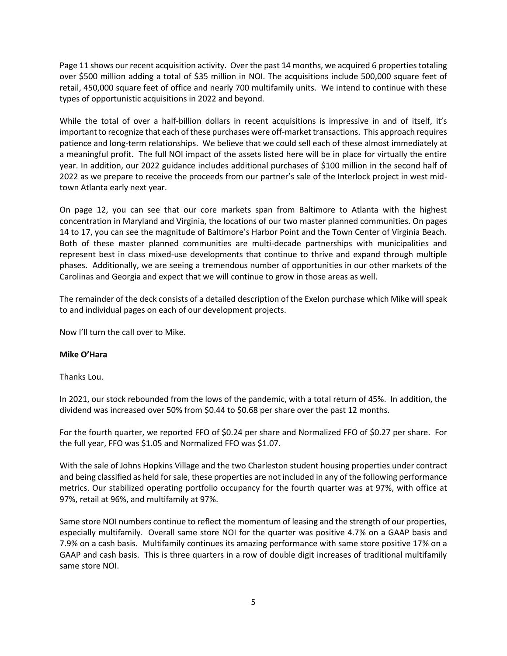Page 11 shows our recent acquisition activity. Over the past 14 months, we acquired 6 properties totaling over \$500 million adding a total of \$35 million in NOI. The acquisitions include 500,000 square feet of retail, 450,000 square feet of office and nearly 700 multifamily units. We intend to continue with these types of opportunistic acquisitions in 2022 and beyond.

While the total of over a half-billion dollars in recent acquisitions is impressive in and of itself, it's important to recognize that each of these purchases were off-market transactions. This approach requires patience and long-term relationships. We believe that we could sell each of these almost immediately at a meaningful profit. The full NOI impact of the assets listed here will be in place for virtually the entire year. In addition, our 2022 guidance includes additional purchases of \$100 million in the second half of 2022 as we prepare to receive the proceeds from our partner's sale of the Interlock project in west midtown Atlanta early next year.

On page 12, you can see that our core markets span from Baltimore to Atlanta with the highest concentration in Maryland and Virginia, the locations of our two master planned communities. On pages 14 to 17, you can see the magnitude of Baltimore's Harbor Point and the Town Center of Virginia Beach. Both of these master planned communities are multi-decade partnerships with municipalities and represent best in class mixed-use developments that continue to thrive and expand through multiple phases. Additionally, we are seeing a tremendous number of opportunities in our other markets of the Carolinas and Georgia and expect that we will continue to grow in those areas as well.

The remainder of the deck consists of a detailed description of the Exelon purchase which Mike will speak to and individual pages on each of our development projects.

Now I'll turn the call over to Mike.

# **Mike O'Hara**

Thanks Lou.

In 2021, our stock rebounded from the lows of the pandemic, with a total return of 45%. In addition, the dividend was increased over 50% from \$0.44 to \$0.68 per share over the past 12 months.

For the fourth quarter, we reported FFO of \$0.24 per share and Normalized FFO of \$0.27 per share. For the full year, FFO was \$1.05 and Normalized FFO was \$1.07.

With the sale of Johns Hopkins Village and the two Charleston student housing properties under contract and being classified as held for sale, these properties are not included in any of the following performance metrics. Our stabilized operating portfolio occupancy for the fourth quarter was at 97%, with office at 97%, retail at 96%, and multifamily at 97%.

Same store NOI numbers continue to reflect the momentum of leasing and the strength of our properties, especially multifamily. Overall same store NOI for the quarter was positive 4.7% on a GAAP basis and 7.9% on a cash basis. Multifamily continues its amazing performance with same store positive 17% on a GAAP and cash basis. This is three quarters in a row of double digit increases of traditional multifamily same store NOI.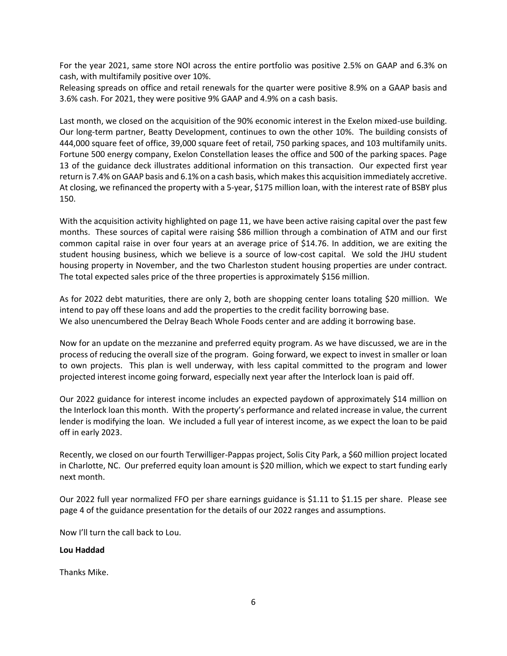For the year 2021, same store NOI across the entire portfolio was positive 2.5% on GAAP and 6.3% on cash, with multifamily positive over 10%.

Releasing spreads on office and retail renewals for the quarter were positive 8.9% on a GAAP basis and 3.6% cash. For 2021, they were positive 9% GAAP and 4.9% on a cash basis.

Last month, we closed on the acquisition of the 90% economic interest in the Exelon mixed-use building. Our long-term partner, Beatty Development, continues to own the other 10%. The building consists of 444,000 square feet of office, 39,000 square feet of retail, 750 parking spaces, and 103 multifamily units. Fortune 500 energy company, Exelon Constellation leases the office and 500 of the parking spaces. Page 13 of the guidance deck illustrates additional information on this transaction. Our expected first year return is 7.4% on GAAP basis and 6.1% on a cash basis, which makes this acquisition immediately accretive. At closing, we refinanced the property with a 5-year, \$175 million loan, with the interest rate of BSBY plus 150.

With the acquisition activity highlighted on page 11, we have been active raising capital over the past few months. These sources of capital were raising \$86 million through a combination of ATM and our first common capital raise in over four years at an average price of \$14.76. In addition, we are exiting the student housing business, which we believe is a source of low-cost capital. We sold the JHU student housing property in November, and the two Charleston student housing properties are under contract. The total expected sales price of the three properties is approximately \$156 million.

As for 2022 debt maturities, there are only 2, both are shopping center loans totaling \$20 million. We intend to pay off these loans and add the properties to the credit facility borrowing base. We also unencumbered the Delray Beach Whole Foods center and are adding it borrowing base.

Now for an update on the mezzanine and preferred equity program. As we have discussed, we are in the process of reducing the overall size of the program. Going forward, we expect to invest in smaller or loan to own projects. This plan is well underway, with less capital committed to the program and lower projected interest income going forward, especially next year after the Interlock loan is paid off.

Our 2022 guidance for interest income includes an expected paydown of approximately \$14 million on the Interlock loan this month. With the property's performance and related increase in value, the current lender is modifying the loan. We included a full year of interest income, as we expect the loan to be paid off in early 2023.

Recently, we closed on our fourth Terwilliger-Pappas project, Solis City Park, a \$60 million project located in Charlotte, NC. Our preferred equity loan amount is \$20 million, which we expect to start funding early next month.

Our 2022 full year normalized FFO per share earnings guidance is \$1.11 to \$1.15 per share. Please see page 4 of the guidance presentation for the details of our 2022 ranges and assumptions.

Now I'll turn the call back to Lou.

## **Lou Haddad**

Thanks Mike.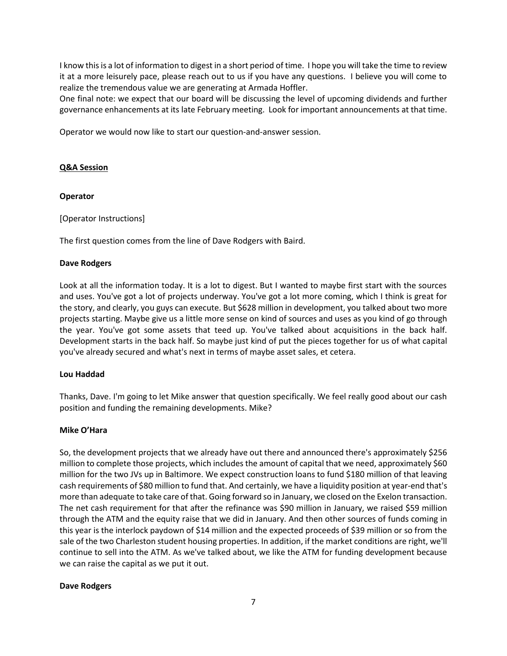I know this is a lot of information to digest in a short period of time. I hope you will take the time to review it at a more leisurely pace, please reach out to us if you have any questions. I believe you will come to realize the tremendous value we are generating at Armada Hoffler.

One final note: we expect that our board will be discussing the level of upcoming dividends and further governance enhancements at its late February meeting. Look for important announcements at that time.

Operator we would now like to start our question-and-answer session.

# **Q&A Session**

# **Operator**

[Operator Instructions]

The first question comes from the line of Dave Rodgers with Baird.

## **Dave Rodgers**

Look at all the information today. It is a lot to digest. But I wanted to maybe first start with the sources and uses. You've got a lot of projects underway. You've got a lot more coming, which I think is great for the story, and clearly, you guys can execute. But \$628 million in development, you talked about two more projects starting. Maybe give us a little more sense on kind of sources and uses as you kind of go through the year. You've got some assets that teed up. You've talked about acquisitions in the back half. Development starts in the back half. So maybe just kind of put the pieces together for us of what capital you've already secured and what's next in terms of maybe asset sales, et cetera.

## **Lou Haddad**

Thanks, Dave. I'm going to let Mike answer that question specifically. We feel really good about our cash position and funding the remaining developments. Mike?

## **Mike O'Hara**

So, the development projects that we already have out there and announced there's approximately \$256 million to complete those projects, which includes the amount of capital that we need, approximately \$60 million for the two JVs up in Baltimore. We expect construction loans to fund \$180 million of that leaving cash requirements of \$80 million to fund that. And certainly, we have a liquidity position at year-end that's more than adequate to take care of that. Going forward so in January, we closed on the Exelon transaction. The net cash requirement for that after the refinance was \$90 million in January, we raised \$59 million through the ATM and the equity raise that we did in January. And then other sources of funds coming in this year is the interlock paydown of \$14 million and the expected proceeds of \$39 million or so from the sale of the two Charleston student housing properties. In addition, if the market conditions are right, we'll continue to sell into the ATM. As we've talked about, we like the ATM for funding development because we can raise the capital as we put it out.

## **Dave Rodgers**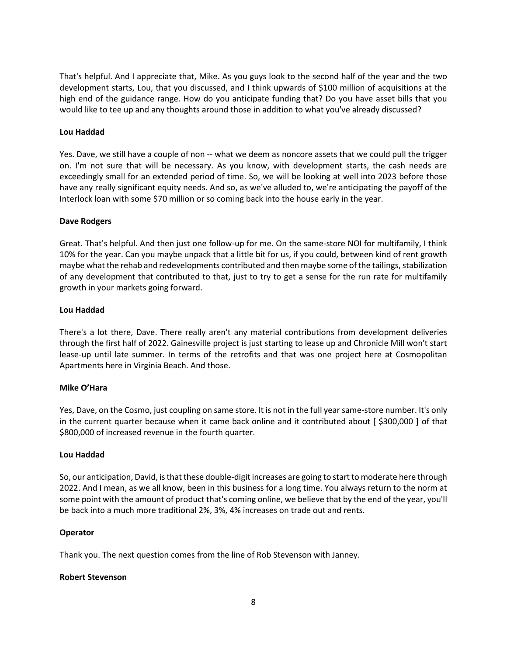That's helpful. And I appreciate that, Mike. As you guys look to the second half of the year and the two development starts, Lou, that you discussed, and I think upwards of \$100 million of acquisitions at the high end of the guidance range. How do you anticipate funding that? Do you have asset bills that you would like to tee up and any thoughts around those in addition to what you've already discussed?

# **Lou Haddad**

Yes. Dave, we still have a couple of non -- what we deem as noncore assets that we could pull the trigger on. I'm not sure that will be necessary. As you know, with development starts, the cash needs are exceedingly small for an extended period of time. So, we will be looking at well into 2023 before those have any really significant equity needs. And so, as we've alluded to, we're anticipating the payoff of the Interlock loan with some \$70 million or so coming back into the house early in the year.

# **Dave Rodgers**

Great. That's helpful. And then just one follow-up for me. On the same-store NOI for multifamily, I think 10% for the year. Can you maybe unpack that a little bit for us, if you could, between kind of rent growth maybe what the rehab and redevelopments contributed and then maybe some of the tailings, stabilization of any development that contributed to that, just to try to get a sense for the run rate for multifamily growth in your markets going forward.

# **Lou Haddad**

There's a lot there, Dave. There really aren't any material contributions from development deliveries through the first half of 2022. Gainesville project is just starting to lease up and Chronicle Mill won't start lease-up until late summer. In terms of the retrofits and that was one project here at Cosmopolitan Apartments here in Virginia Beach. And those.

# **Mike O'Hara**

Yes, Dave, on the Cosmo, just coupling on same store. It is not in the full year same-store number. It's only in the current quarter because when it came back online and it contributed about [ \$300,000 ] of that \$800,000 of increased revenue in the fourth quarter.

## **Lou Haddad**

So, our anticipation, David, is that these double-digit increases are going to start to moderate here through 2022. And I mean, as we all know, been in this business for a long time. You always return to the norm at some point with the amount of product that's coming online, we believe that by the end of the year, you'll be back into a much more traditional 2%, 3%, 4% increases on trade out and rents.

## **Operator**

Thank you. The next question comes from the line of Rob Stevenson with Janney.

## **Robert Stevenson**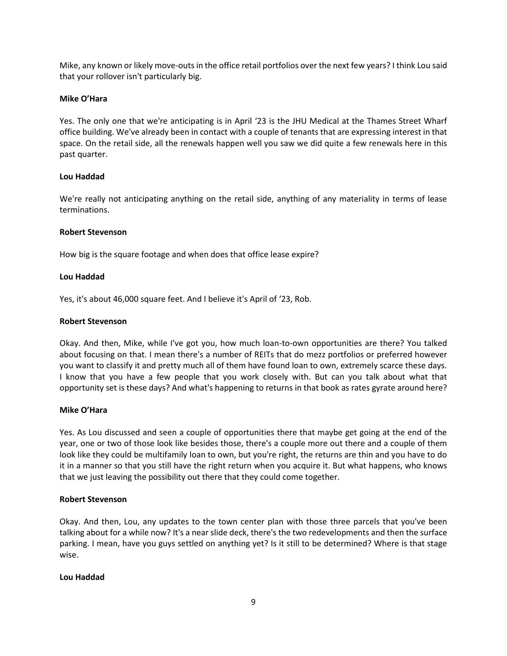Mike, any known or likely move-outs in the office retail portfolios over the next few years? I think Lou said that your rollover isn't particularly big.

# **Mike O'Hara**

Yes. The only one that we're anticipating is in April '23 is the JHU Medical at the Thames Street Wharf office building. We've already been in contact with a couple of tenants that are expressing interest in that space. On the retail side, all the renewals happen well you saw we did quite a few renewals here in this past quarter.

# **Lou Haddad**

We're really not anticipating anything on the retail side, anything of any materiality in terms of lease terminations.

# **Robert Stevenson**

How big is the square footage and when does that office lease expire?

# **Lou Haddad**

Yes, it's about 46,000 square feet. And I believe it's April of '23, Rob.

# **Robert Stevenson**

Okay. And then, Mike, while I've got you, how much loan-to-own opportunities are there? You talked about focusing on that. I mean there's a number of REITs that do mezz portfolios or preferred however you want to classify it and pretty much all of them have found loan to own, extremely scarce these days. I know that you have a few people that you work closely with. But can you talk about what that opportunity set is these days? And what's happening to returns in that book as rates gyrate around here?

## **Mike O'Hara**

Yes. As Lou discussed and seen a couple of opportunities there that maybe get going at the end of the year, one or two of those look like besides those, there's a couple more out there and a couple of them look like they could be multifamily loan to own, but you're right, the returns are thin and you have to do it in a manner so that you still have the right return when you acquire it. But what happens, who knows that we just leaving the possibility out there that they could come together.

## **Robert Stevenson**

Okay. And then, Lou, any updates to the town center plan with those three parcels that you've been talking about for a while now? It's a near slide deck, there's the two redevelopments and then the surface parking. I mean, have you guys settled on anything yet? Is it still to be determined? Where is that stage wise.

## **Lou Haddad**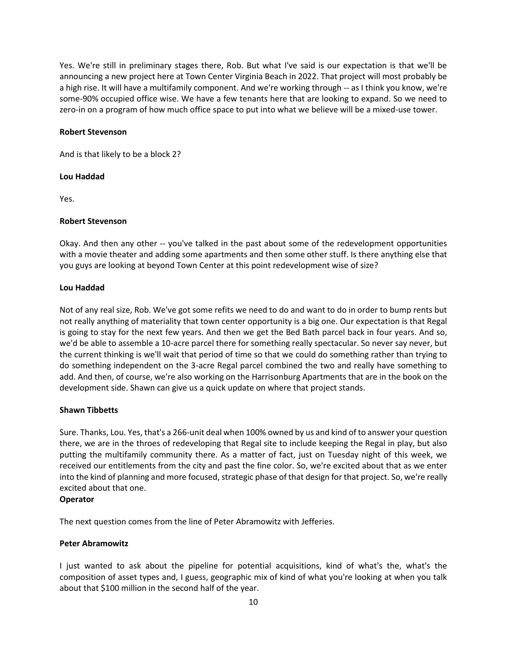Yes. We're still in preliminary stages there, Rob. But what I've said is our expectation is that we'll be announcing a new project here at Town Center Virginia Beach in 2022. That project will most probably be a high rise. It will have a multifamily component. And we're working through -- as I think you know, we're some-90% occupied office wise. We have a few tenants here that are looking to expand. So we need to zero-in on a program of how much office space to put into what we believe will be a mixed-use tower.

# **Robert Stevenson**

And is that likely to be a block 2?

# **Lou Haddad**

Yes.

# **Robert Stevenson**

Okay. And then any other -- you've talked in the past about some of the redevelopment opportunities with a movie theater and adding some apartments and then some other stuff. Is there anything else that you guys are looking at beyond Town Center at this point redevelopment wise of size?

# **Lou Haddad**

Not of any real size, Rob. We've got some refits we need to do and want to do in order to bump rents but not really anything of materiality that town center opportunity is a big one. Our expectation is that Regal is going to stay for the next few years. And then we get the Bed Bath parcel back in four years. And so, we'd be able to assemble a 10-acre parcel there for something really spectacular. So never say never, but the current thinking is we'll wait that period of time so that we could do something rather than trying to do something independent on the 3-acre Regal parcel combined the two and really have something to add. And then, of course, we're also working on the Harrisonburg Apartments that are in the book on the development side. Shawn can give us a quick update on where that project stands.

# **Shawn Tibbetts**

Sure. Thanks, Lou. Yes, that's a 266-unit deal when 100% owned by us and kind of to answer your question there, we are in the throes of redeveloping that Regal site to include keeping the Regal in play, but also putting the multifamily community there. As a matter of fact, just on Tuesday night of this week, we received our entitlements from the city and past the fine color. So, we're excited about that as we enter into the kind of planning and more focused, strategic phase of that design for that project. So, we're really excited about that one.

## **Operator**

The next question comes from the line of Peter Abramowitz with Jefferies.

# **Peter Abramowitz**

I just wanted to ask about the pipeline for potential acquisitions, kind of what's the, what's the composition of asset types and, I guess, geographic mix of kind of what you're looking at when you talk about that \$100 million in the second half of the year.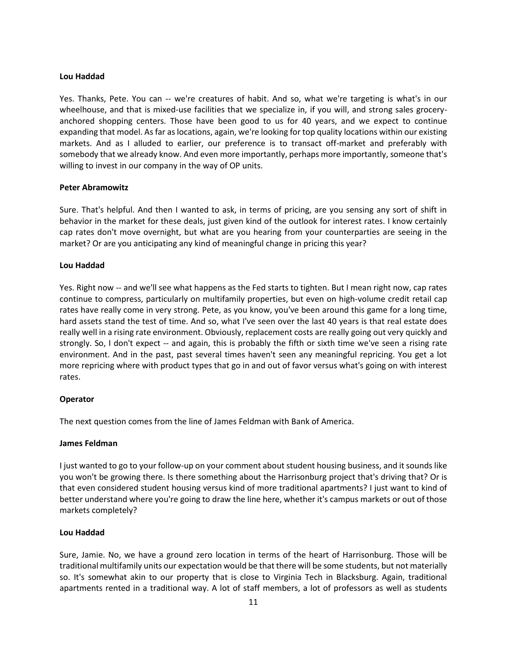## **Lou Haddad**

Yes. Thanks, Pete. You can -- we're creatures of habit. And so, what we're targeting is what's in our wheelhouse, and that is mixed-use facilities that we specialize in, if you will, and strong sales groceryanchored shopping centers. Those have been good to us for 40 years, and we expect to continue expanding that model. As far as locations, again, we're looking for top quality locations within our existing markets. And as I alluded to earlier, our preference is to transact off-market and preferably with somebody that we already know. And even more importantly, perhaps more importantly, someone that's willing to invest in our company in the way of OP units.

#### **Peter Abramowitz**

Sure. That's helpful. And then I wanted to ask, in terms of pricing, are you sensing any sort of shift in behavior in the market for these deals, just given kind of the outlook for interest rates. I know certainly cap rates don't move overnight, but what are you hearing from your counterparties are seeing in the market? Or are you anticipating any kind of meaningful change in pricing this year?

#### **Lou Haddad**

Yes. Right now -- and we'll see what happens as the Fed starts to tighten. But I mean right now, cap rates continue to compress, particularly on multifamily properties, but even on high-volume credit retail cap rates have really come in very strong. Pete, as you know, you've been around this game for a long time, hard assets stand the test of time. And so, what I've seen over the last 40 years is that real estate does really well in a rising rate environment. Obviously, replacement costs are really going out very quickly and strongly. So, I don't expect -- and again, this is probably the fifth or sixth time we've seen a rising rate environment. And in the past, past several times haven't seen any meaningful repricing. You get a lot more repricing where with product types that go in and out of favor versus what's going on with interest rates.

## **Operator**

The next question comes from the line of James Feldman with Bank of America.

## **James Feldman**

I just wanted to go to your follow-up on your comment about student housing business, and it sounds like you won't be growing there. Is there something about the Harrisonburg project that's driving that? Or is that even considered student housing versus kind of more traditional apartments? I just want to kind of better understand where you're going to draw the line here, whether it's campus markets or out of those markets completely?

## **Lou Haddad**

Sure, Jamie. No, we have a ground zero location in terms of the heart of Harrisonburg. Those will be traditional multifamily units our expectation would be that there will be some students, but not materially so. It's somewhat akin to our property that is close to Virginia Tech in Blacksburg. Again, traditional apartments rented in a traditional way. A lot of staff members, a lot of professors as well as students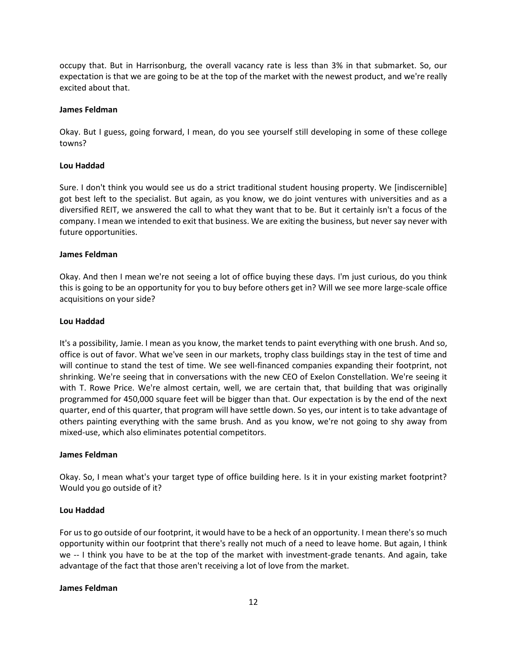occupy that. But in Harrisonburg, the overall vacancy rate is less than 3% in that submarket. So, our expectation is that we are going to be at the top of the market with the newest product, and we're really excited about that.

#### **James Feldman**

Okay. But I guess, going forward, I mean, do you see yourself still developing in some of these college towns?

## **Lou Haddad**

Sure. I don't think you would see us do a strict traditional student housing property. We [indiscernible] got best left to the specialist. But again, as you know, we do joint ventures with universities and as a diversified REIT, we answered the call to what they want that to be. But it certainly isn't a focus of the company. I mean we intended to exit that business. We are exiting the business, but never say never with future opportunities.

#### **James Feldman**

Okay. And then I mean we're not seeing a lot of office buying these days. I'm just curious, do you think this is going to be an opportunity for you to buy before others get in? Will we see more large-scale office acquisitions on your side?

#### **Lou Haddad**

It's a possibility, Jamie. I mean as you know, the market tends to paint everything with one brush. And so, office is out of favor. What we've seen in our markets, trophy class buildings stay in the test of time and will continue to stand the test of time. We see well-financed companies expanding their footprint, not shrinking. We're seeing that in conversations with the new CEO of Exelon Constellation. We're seeing it with T. Rowe Price. We're almost certain, well, we are certain that, that building that was originally programmed for 450,000 square feet will be bigger than that. Our expectation is by the end of the next quarter, end of this quarter, that program will have settle down. So yes, our intent is to take advantage of others painting everything with the same brush. And as you know, we're not going to shy away from mixed-use, which also eliminates potential competitors.

#### **James Feldman**

Okay. So, I mean what's your target type of office building here. Is it in your existing market footprint? Would you go outside of it?

## **Lou Haddad**

For us to go outside of our footprint, it would have to be a heck of an opportunity. I mean there's so much opportunity within our footprint that there's really not much of a need to leave home. But again, I think we -- I think you have to be at the top of the market with investment-grade tenants. And again, take advantage of the fact that those aren't receiving a lot of love from the market.

#### **James Feldman**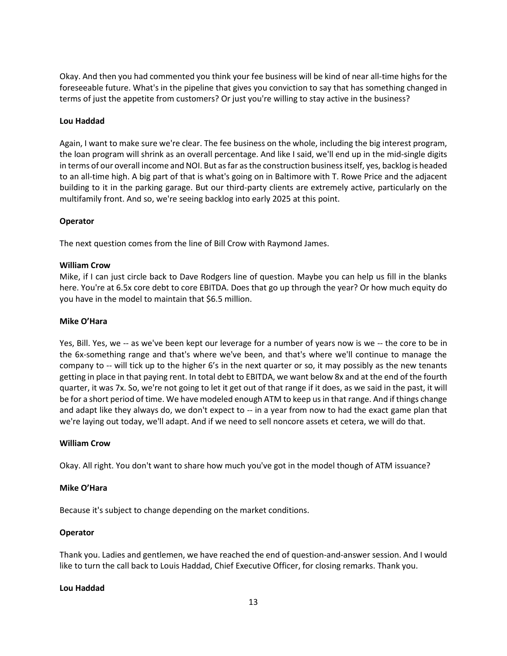Okay. And then you had commented you think your fee business will be kind of near all-time highs for the foreseeable future. What's in the pipeline that gives you conviction to say that has something changed in terms of just the appetite from customers? Or just you're willing to stay active in the business?

# **Lou Haddad**

Again, I want to make sure we're clear. The fee business on the whole, including the big interest program, the loan program will shrink as an overall percentage. And like I said, we'll end up in the mid-single digits in terms of our overall income and NOI. But as far as the construction business itself, yes, backlog is headed to an all-time high. A big part of that is what's going on in Baltimore with T. Rowe Price and the adjacent building to it in the parking garage. But our third-party clients are extremely active, particularly on the multifamily front. And so, we're seeing backlog into early 2025 at this point.

# **Operator**

The next question comes from the line of Bill Crow with Raymond James.

# **William Crow**

Mike, if I can just circle back to Dave Rodgers line of question. Maybe you can help us fill in the blanks here. You're at 6.5x core debt to core EBITDA. Does that go up through the year? Or how much equity do you have in the model to maintain that \$6.5 million.

# **Mike O'Hara**

Yes, Bill. Yes, we -- as we've been kept our leverage for a number of years now is we -- the core to be in the 6x-something range and that's where we've been, and that's where we'll continue to manage the company to -- will tick up to the higher 6's in the next quarter or so, it may possibly as the new tenants getting in place in that paying rent. In total debt to EBITDA, we want below 8x and at the end of the fourth quarter, it was 7x. So, we're not going to let it get out of that range if it does, as we said in the past, it will be for a short period of time. We have modeled enough ATM to keep us in that range. And if things change and adapt like they always do, we don't expect to -- in a year from now to had the exact game plan that we're laying out today, we'll adapt. And if we need to sell noncore assets et cetera, we will do that.

## **William Crow**

Okay. All right. You don't want to share how much you've got in the model though of ATM issuance?

## **Mike O'Hara**

Because it's subject to change depending on the market conditions.

## **Operator**

Thank you. Ladies and gentlemen, we have reached the end of question-and-answer session. And I would like to turn the call back to Louis Haddad, Chief Executive Officer, for closing remarks. Thank you.

## **Lou Haddad**